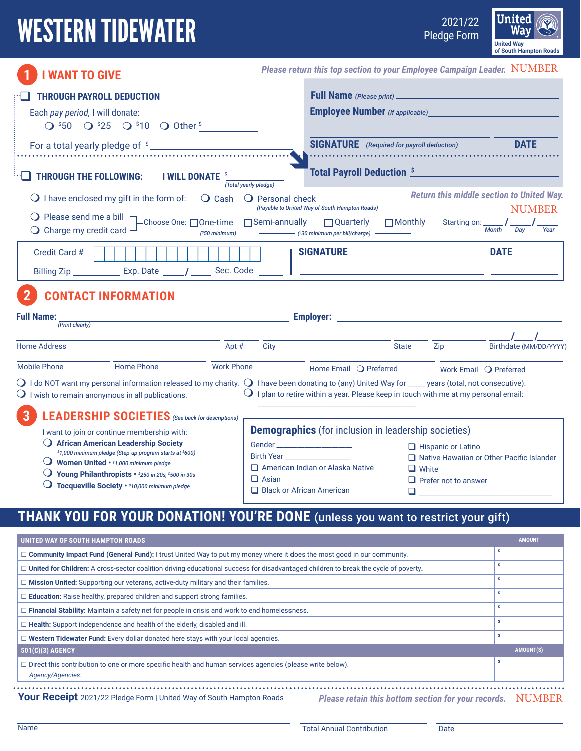# WESTERN TIDEWATER

2021/22



|                                                                                                                                                                                                                                     |                                                  |                                                                                                                                                        |                                                        | of south Hampton Roads                                            |
|-------------------------------------------------------------------------------------------------------------------------------------------------------------------------------------------------------------------------------------|--------------------------------------------------|--------------------------------------------------------------------------------------------------------------------------------------------------------|--------------------------------------------------------|-------------------------------------------------------------------|
| <b>I WANT TO GIVE</b>                                                                                                                                                                                                               |                                                  | Please return this top section to your Employee Campaign Leader. NUMBER                                                                                |                                                        |                                                                   |
| <b>THROUGH PAYROLL DEDUCTION</b>                                                                                                                                                                                                    |                                                  |                                                                                                                                                        | <b>Employee Number</b> (If applicable) <b>CONVICTS</b> |                                                                   |
| Each pay period, I will donate:<br>$Q$ \$50 $Q$ \$25 $Q$ \$10 $Q$ Other \$                                                                                                                                                          |                                                  |                                                                                                                                                        |                                                        |                                                                   |
|                                                                                                                                                                                                                                     |                                                  | <b>SIGNATURE</b> (Required for payroll deduction)                                                                                                      |                                                        | <b>DATE</b>                                                       |
| <b>THROUGH THE FOLLOWING:</b><br><b>I WILL DONATE</b>                                                                                                                                                                               | (Total yearly pledge)                            |                                                                                                                                                        | <b>Total Payroll Deduction \$</b>                      |                                                                   |
| $\bigcirc$ I have enclosed my gift in the form of:                                                                                                                                                                                  | $\overline{O}$ Cash<br>$\bigcirc$ Personal check | (Payable to United Way of South Hampton Roads)                                                                                                         |                                                        | <b>Return this middle section to United Way.</b><br><b>NUMBER</b> |
| $\bigcirc$ Please send me a bill $\neg$<br>-Choose One: □One-time<br>$\bigcirc$ Charge my credit card                                                                                                                               | $\Box$ Semi-annually<br>$(^s50$ minimum)         | $\Box$ Quarterly<br>(\$30 minimum per bill/charge) -                                                                                                   | $\Box$ Monthly                                         | Starting on: $\frac{1}{M_0}I_{\frac{Day}{}}$                      |
| Credit Card #                                                                                                                                                                                                                       |                                                  | <b>SIGNATURE</b>                                                                                                                                       |                                                        | <b>DATE</b>                                                       |
| Billing Zip _______________ Exp. Date ______/ _______ Sec. Code _______   __________________________                                                                                                                                |                                                  |                                                                                                                                                        |                                                        |                                                                   |
| <b>CONTACT INFORMATION</b>                                                                                                                                                                                                          |                                                  |                                                                                                                                                        |                                                        |                                                                   |
| <b>Full Name:</b><br><u> 1989 - Johann Barnett, fransk politiker (</u><br>(Print clearly)                                                                                                                                           |                                                  |                                                                                                                                                        |                                                        |                                                                   |
| <b>Home Address</b>                                                                                                                                                                                                                 | Apt #<br>City                                    |                                                                                                                                                        | <b>State</b><br>Zip                                    | Birthdate (MM/DD/YYYY)                                            |
| <b>Mobile Phone</b><br><b>Home Phone</b>                                                                                                                                                                                            | <b>Work Phone</b>                                | Home Email O Preferred                                                                                                                                 |                                                        | Work Email Q Preferred                                            |
| $\bigcirc$ I do NOT want my personal information released to my charity. $\bigcirc$ I have been donating to (any) United Way for ____ years (total, not consecutive).<br>$\bigcirc$ I wish to remain anonymous in all publications. |                                                  | I plan to retire within a year. Please keep in touch with me at my personal email:                                                                     |                                                        |                                                                   |
| <b>LEADERSHIP SOCIETIES</b> (See back for descriptions)<br>3                                                                                                                                                                        |                                                  |                                                                                                                                                        |                                                        |                                                                   |
| I want to join or continue membership with:<br>$\bigcup$ African American Leadership Society                                                                                                                                        |                                                  | <b>Demographics</b> (for inclusion in leadership societies)                                                                                            |                                                        |                                                                   |
| \$1,000 minimum pledge (Step-up program starts at \$600)                                                                                                                                                                            |                                                  | Gender _______________________<br><b>Birth Year Advisory Service Service Service Service Service Service Service Service Service Service Service S</b> | Hispanic or Latino                                     | □ Native Hawaiian or Other Pacific Islander                       |
| $\bigcirc$ Women United $\cdot$ \$1,000 minimum pledge<br>Young Philanthropists • \$250 in 20s, \$500 in 30s                                                                                                                        |                                                  | $\Box$ American Indian or Alaska Native                                                                                                                | $\Box$ White                                           |                                                                   |
| $\bigcirc$ Tocqueville Society $\cdot$ \$10,000 minimum pledge                                                                                                                                                                      | $\Box$ Asian                                     | $\Box$ Black or African American                                                                                                                       | $\Box$ Prefer not to answer                            |                                                                   |
| <b>THANK YOU FOR YOUR DONATION! YOU'RE DONE</b> (unless you want to restrict your gift)                                                                                                                                             |                                                  |                                                                                                                                                        |                                                        |                                                                   |
| UNITED WAY OF SOUTH HAMPTON ROADS                                                                                                                                                                                                   |                                                  |                                                                                                                                                        |                                                        | <b>AMOUNT</b>                                                     |
|                                                                                                                                                                                                                                     |                                                  |                                                                                                                                                        |                                                        | ls.                                                               |

| $\Box$ Community Impact Fund (General Fund): I trust United Way to put my money where it does the most good in our community.                                                                                                                                                                                                                                             |                  |  |  |
|---------------------------------------------------------------------------------------------------------------------------------------------------------------------------------------------------------------------------------------------------------------------------------------------------------------------------------------------------------------------------|------------------|--|--|
| $\Box$ United for Children: A cross-sector coalition driving educational success for disadvantaged children to break the cycle of poverty.                                                                                                                                                                                                                                |                  |  |  |
| $\Box$ Mission United: Supporting our veterans, active-duty military and their families.                                                                                                                                                                                                                                                                                  |                  |  |  |
| $\Box$ <b>Education:</b> Raise healthy, prepared children and support strong families.                                                                                                                                                                                                                                                                                    |                  |  |  |
| $\Box$ Financial Stability: Maintain a safety net for people in crisis and work to end homelessness.                                                                                                                                                                                                                                                                      |                  |  |  |
| $\Box$ Health: Support independence and health of the elderly, disabled and ill.                                                                                                                                                                                                                                                                                          |                  |  |  |
| $\Box$ Western Tidewater Fund: Every dollar donated here stays with your local agencies.                                                                                                                                                                                                                                                                                  |                  |  |  |
| 501(C)(3) AGENCY                                                                                                                                                                                                                                                                                                                                                          | <b>AMOUNT(S)</b> |  |  |
| $\Box$ Direct this contribution to one or more specific health and human services agencies (please write below).<br>Agency/Agencies:                                                                                                                                                                                                                                      |                  |  |  |
| Vous Depaint 2001/00 Philip From Ullip UNicode Court University President<br>$\mathbf{N}$ . The set of the set of $\mathbf{A}$ is the set of $\mathbf{A}$ in $\mathbf{I}$ is $\mathbf{I}$ in $\mathbf{I}$ in $\mathbf{I}$ in $\mathbf{I}$ in $\mathbf{I}$ in $\mathbf{I}$ is $\mathbf{I}$ in $\mathbf{I}$ in $\mathbf{I}$ in $\mathbf{I}$ in $\mathbf{I}$ in $\mathbf{I}$ |                  |  |  |

**Your Receipt** 2021/22 Pledge Form | United Way of South Hampton Roads *Please retain this bottom section for your records.* NUMBER